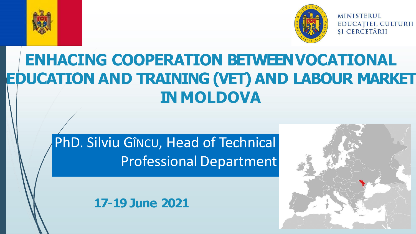



**MINISTERUL** EDUCAȚIEI, CULTURII ȘI CERCETĂRII

# **ENHACING COOPERATION BETWEENVOCATIONAL EDUCATION AND TRAINING (VET) AND LABOUR MARKET IN MOLDOVA**

# PhD. Silviu GÎNCU, Head of Technical Professional Department

#### **17-19 June 2021**

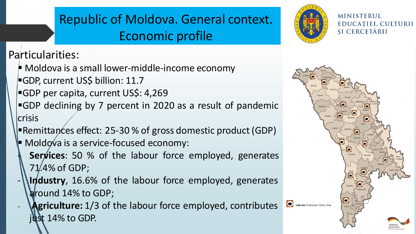## Republic of Moldova. General context. Economic profile



**MINISTERUL** EDUCAȚIEI, CULTURII **SI CERCETĂRII** 

#### Particularities:

- $\blacktriangleright$  Moldova is a small lower-middle-income economy
- **GDP, current US\$ billion: 11.7**
- ■GDP per capita, current US\$: 4,269
- $\blacktriangleright$ GDP declining by 7 percent in 2020 as a result of pandemic crisis
- **Promittances effect: 25-30 % of gross domestic product (GDP)**
- Moldova is a service-focused economy:
	- **Services**: 50 % of the labour force employed, generates 71.4% of GDP;
- **Industry**, 16.6% of the labour force employed, generates around 14% to GDP;
	- Agriculture: 1/3 of the labour force employed, contributes just 14% to GDP.

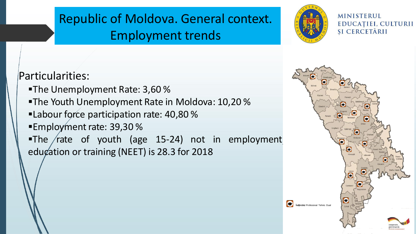## Republic of Moldova. General context. Employment trends



**MINISTERUL** EDUCAȚIEI, CULTURII ȘI CERCETĂRII

Particularities:

- **-The Unemployment Rate: 3,60 %**
- ■The Youth Unemployment Rate in Moldova: 10,20 %
- **ELabour force participation rate: 40,80 %**
- ■Employment rate: 39,30 %
- The rate of youth (age 15-24) not in employment education or training (NEET) is 28.3 for 2018

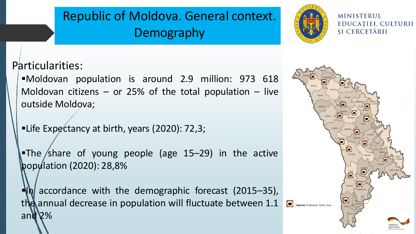## Republic of Moldova. General context. **Demography**



**MINISTERUL** EDUCAȚIEI, CULTURII ȘI CERCETĂRII

Particularities:

▪Moldovan population is around 2.9 million: 973 618 Moldovan citizens – or 25% of the total population – live outside Moldova;

■Life Expectancy at birth, years (2020): 72,3;

■The share of young people (age 15–29) in the active population (2020): 28,8%

 $\eta$  accordance with the demographic forecast (2015–35), the annual decrease in population will fluctuate between 1.1 and 2%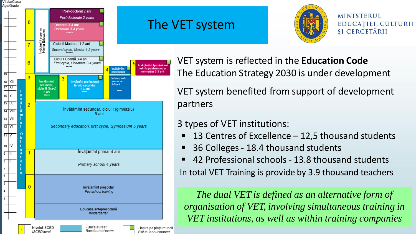

#### The VET system



**MINISTERUL** EDUCAȚIEI, CULTURII SI CERCETĂRII

VET system is reflected in the **Education Code** The Education Strategy 2030 is under development

VET system benefited from support of development partners

#### 3 types of VET institutions:

- 13 Centres of Excellence  $-$  12,5 thousand students
- 36 Colleges 18.4 thousand students
- 42 Professional schools 13.8 thousand students In total VET Training is provide by 3.9 thousand teachers

*The dual VET is defined as an alternative form of organisation of VET, involving simultaneous training in VET institutions, as well as within training companies*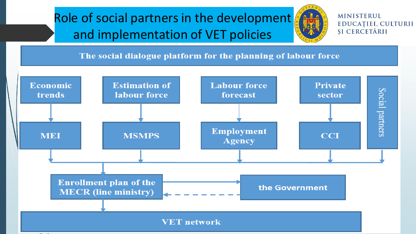## Role of social partners in the development and implementation of VET policies



**MINISTERUL** EDUCAȚIEI, CULTURII ȘI CERCETĂRII

The social dialogue platform for the planning of labour force

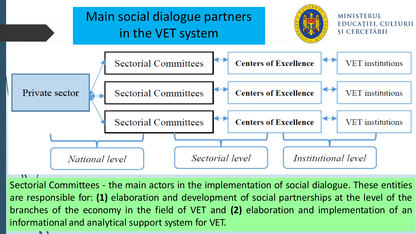

Sectorial Committees - the main actors in the implementation of social dialogue. These entities are responsible for: **(1)** elaboration and development of social partnerships at the level of the branches of the economy in the field of VET and **(2)** elaboration and implementation of an informational and analytical support system for VET.

 $\blacksquare$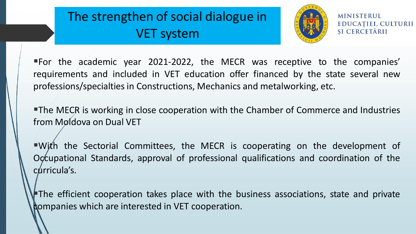## The strengthen of social dialogue in VET system



**MINISTERUL** EDUCAȚIEI, CULTURII SI CERCETĂRII

▪For the academic year 2021-2022, the MECR was receptive to the companies' requirements and included in VET education offer financed by the state several new professions/specialties in Constructions, Mechanics and metalworking, etc.

■The MECR is working in close cooperation with the Chamber of Commerce and Industries from Møldova on Dual VET

■With the Sectorial Committees, the MECR is cooperating on the development of Occupational Standards, approval of professional qualifications and coordination of the curricula's.

The efficient cooperation takes place with the business associations, state and private companies which are interested in VET cooperation.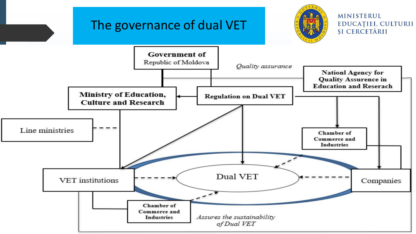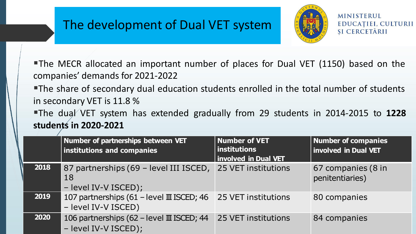### The development of Dual VET system



**MINISTERUL** EDUCAȚIEI, CULTURII SI CERCETĂRII

**The MECR allocated an important number of places for Dual VET (1150) based on the** companies' demands for 2021-2022

**The share of secondary dual education students enrolled in the total number of students** in secondary VET is 11.8 %

▪The dual VET system has extended gradually from 29 students in 2014-2015 to **1228 students in 2020-2021**

|      | Number of partnerships between VET<br>institutions and companies                      | Number of VET<br>$ $ institutions<br><b>Involved in Dual VET</b> | Number of companies<br>Involved in Dual VET |
|------|---------------------------------------------------------------------------------------|------------------------------------------------------------------|---------------------------------------------|
| 2018 | 87 partnerships (69 - level III ISCED,<br>18<br>- level IV-V ISCED);                  | 25 VET institutions                                              | 67 companies (8 in<br>penitentiaries)       |
| 2019 | 107 partnerships (61 - level III ISCED; 46<br>- level IV-V ISCED)                     | 25 VET institutions                                              | 80 companies                                |
| 2020 | 106 partnerships (62 – level $\scriptstyle\rm I\!I$ ISCED; 44<br>- level IV-V ISCED); | 25 VET institutions                                              | 84 companies                                |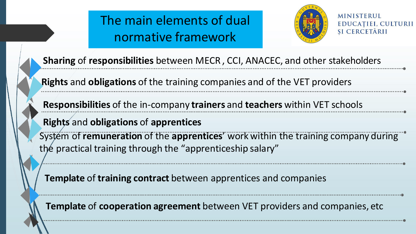## The main elements of dual normative framework



**MINISTERUL** EDUCAȚIEI, CULTURII SI CERCETĂRII

**Sharing** of **responsibilities** between MECR, CCI, ANACEC, and other stakeholders

**Rights** and **obligations** of the training companies and of the VET providers

**Responsibilities** of the in-company **trainers** and **teachers** within VET schools

**Rights** and **obligations** of **apprentices**

System of **remuneration** of the **apprentices**' work within the training company during the practical training through the "apprenticeship salary"

**Template** of **training contract** between apprentices and companies

**Template** of **cooperation agreement** between VET providers and companies, etc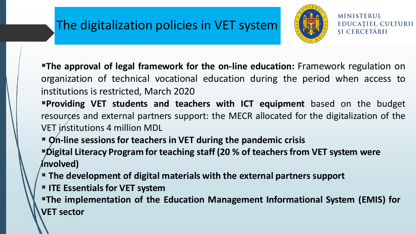### The digitalization policies in VET system



**MINISTERUL** EDUCAȚIEI, CULTURII SI CERCETĂRII

▪**The approval of legal framework for the on-line education:** Framework regulation on organization of technical vocational education during the period when access to institutions is restricted, March 2020

▪**Providing VET students and teachers with ICT equipment** based on the budget resources and external partners support: the MECR allocated for the digitalization of the VET institutions 4 million MDL

▪ **On-line sessions for teachers in VET during the pandemic crisis** ▪**Digital Literacy Program for teaching staff (20 % of teachers from VET system were involved)**

- **The development of digital materials with the external partners support**
- $\blacksquare$  **ITE Essentials for VET system**

▪**The implementation of the Education Management Informational System (EMIS) for VET sector**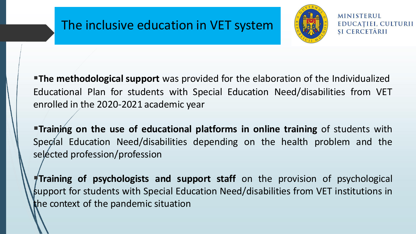### The inclusive education in VET system



**MINISTERUL** EDUCATIEI, CULTURII SI CERCETĂRII

**The methodological support** was provided for the elaboration of the Individualized Educational Plan for students with Special Education Need/disabilities from VET enrolled in the 2020-2021 academic year

▪**Training on the use of educational platforms in online training** of students with Special Education Need/disabilities depending on the health problem and the selected profession/profession

▪**Training of psychologists and support staff** on the provision of psychological support for students with Special Education Need/disabilities from VET institutions in the context of the pandemic situation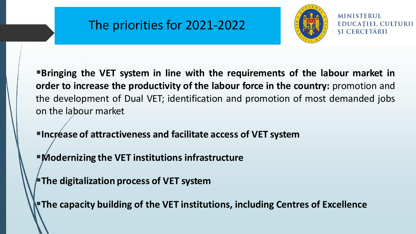#### The priorities for 2021-2022



**MINISTERUL** EDUCATIEI, CULTURII SI CERCETĂRII

▪**Bringing the VET system in line with the requirements of the labour market in order to increase the productivity of the labour force in the country:** promotion and the development of Dual VET; identification and promotion of most demanded jobs on the labour market

▪**Increase of attractiveness and facilitate access of VET system**

▪**Modernizing the VET institutions infrastructure**

▪**The digitalization process of VET system**

▪**The capacity building of the VET institutions, including Centres of Excellence**